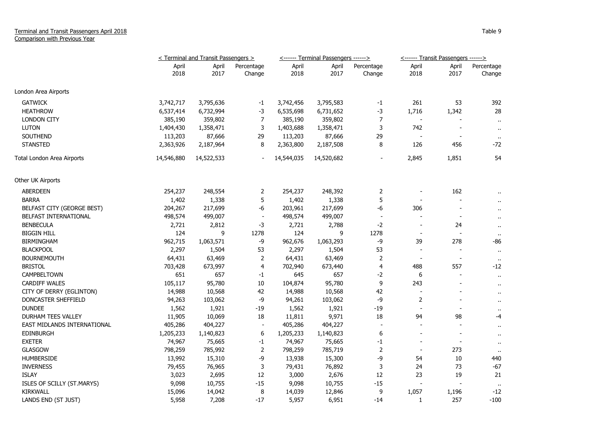## Terminal and Transit Passengers April 2018 Comparison with Previous Year

|                             | < Terminal and Transit Passengers > |               |                          |               | <------ Terminal Passengers ------> |                          | <------ Transit Passengers ------> |                          |                      |
|-----------------------------|-------------------------------------|---------------|--------------------------|---------------|-------------------------------------|--------------------------|------------------------------------|--------------------------|----------------------|
|                             | April<br>2018                       | April<br>2017 | Percentage<br>Change     | April<br>2018 | April<br>2017                       | Percentage<br>Change     | April<br>2018                      | April<br>2017            | Percentage<br>Change |
| London Area Airports        |                                     |               |                          |               |                                     |                          |                                    |                          |                      |
| <b>GATWICK</b>              | 3,742,717                           | 3,795,636     | $-1$                     | 3,742,456     | 3,795,583                           | $-1$                     | 261                                | 53                       | 392                  |
| <b>HEATHROW</b>             | 6,537,414                           | 6,732,994     | $-3$                     | 6,535,698     | 6,731,652                           | -3                       | 1,716                              | 1,342                    | 28                   |
| <b>LONDON CITY</b>          | 385,190                             | 359,802       | 7                        | 385,190       | 359,802                             | $\overline{7}$           |                                    |                          | $\mathbf{u}$         |
| <b>LUTON</b>                | 1,404,430                           | 1,358,471     | 3                        | 1,403,688     | 1,358,471                           | 3                        | 742                                | $\overline{\phantom{a}}$ | $\mathbf{u}$         |
| <b>SOUTHEND</b>             | 113,203                             | 87,666        | 29                       | 113,203       | 87,666                              | 29                       |                                    | $\overline{\phantom{a}}$ | $\mathbf{H}$         |
| <b>STANSTED</b>             | 2,363,926                           | 2,187,964     | 8                        | 2,363,800     | 2,187,508                           | 8                        | 126                                | 456                      | -72                  |
| Total London Area Airports  | 14,546,880                          | 14,522,533    |                          | 14,544,035    | 14,520,682                          |                          | 2,845                              | 1,851                    | 54                   |
| Other UK Airports           |                                     |               |                          |               |                                     |                          |                                    |                          |                      |
| ABERDEEN                    | 254,237                             | 248,554       | 2                        | 254,237       | 248,392                             | 2                        |                                    | 162                      |                      |
| <b>BARRA</b>                | 1,402                               | 1,338         | 5                        | 1,402         | 1,338                               | 5                        |                                    |                          |                      |
| BELFAST CITY (GEORGE BEST)  | 204,267                             | 217,699       | -6                       | 203,961       | 217,699                             | $-6$                     | 306                                | $\overline{\phantom{a}}$ | $\ddot{\phantom{1}}$ |
| BELFAST INTERNATIONAL       | 498,574                             | 499,007       | $\overline{\phantom{a}}$ | 498,574       | 499,007                             | $\overline{\phantom{a}}$ |                                    | $\overline{\phantom{a}}$ |                      |
| <b>BENBECULA</b>            | 2,721                               | 2,812         | $-3$                     | 2,721         | 2,788                               | $-2$                     |                                    | 24                       | $\mathbf{u}$         |
| <b>BIGGIN HILL</b>          | 124                                 | 9             | 1278                     | 124           | 9                                   | 1278                     |                                    | $\overline{\phantom{a}}$ | $\bullet$            |
| <b>BIRMINGHAM</b>           | 962,715                             | 1,063,571     | $-9$                     | 962,676       | 1,063,293                           | $-9$                     | 39                                 | 278                      | -86                  |
| <b>BLACKPOOL</b>            | 2,297                               | 1,504         | 53                       | 2,297         | 1,504                               | 53                       | $\overline{\phantom{a}}$           | $\overline{a}$           | $\mathbf{u}$         |
| <b>BOURNEMOUTH</b>          | 64,431                              | 63,469        | $\overline{2}$           | 64,431        | 63,469                              | $\overline{2}$           | $\blacksquare$                     | $\blacksquare$           | $\mathbf{u}$         |
| <b>BRISTOL</b>              | 703,428                             | 673,997       | 4                        | 702,940       | 673,440                             | 4                        | 488                                | 557                      | -12                  |
| <b>CAMPBELTOWN</b>          | 651                                 | 657           | $-1$                     | 645           | 657                                 | $-2$                     | 6                                  |                          | $\mathbf{u}$         |
| <b>CARDIFF WALES</b>        | 105,117                             | 95,780        | 10                       | 104,874       | 95,780                              | 9                        | 243                                |                          | $\mathbf{r}$ .       |
| CITY OF DERRY (EGLINTON)    | 14,988                              | 10,568        | 42                       | 14,988        | 10,568                              | 42                       | $\overline{\phantom{a}}$           |                          | $\mathbf{u}$         |
| DONCASTER SHEFFIELD         | 94,263                              | 103,062       | -9                       | 94,261        | 103,062                             | -9                       | 2                                  |                          | $\ddot{\phantom{1}}$ |
| <b>DUNDEE</b>               | 1,562                               | 1,921         | $-19$                    | 1,562         | 1,921                               | $-19$                    | $\blacksquare$                     |                          | $\mathbf{u}$         |
| <b>DURHAM TEES VALLEY</b>   | 11,905                              | 10,069        | 18                       | 11,811        | 9,971                               | 18                       | 94                                 | 98                       | -4                   |
| EAST MIDLANDS INTERNATIONAL | 405,286                             | 404,227       | $\overline{\phantom{a}}$ | 405,286       | 404,227                             | $\overline{\phantom{a}}$ |                                    |                          | $\mathbf{u}$         |
| EDINBURGH                   | 1,205,233                           | 1,140,823     | $\boldsymbol{6}$         | 1,205,233     | 1,140,823                           | $\boldsymbol{6}$         | $\overline{\phantom{a}}$           | $\overline{\phantom{a}}$ | $\blacksquare$       |
| <b>EXETER</b>               | 74,967                              | 75,665        | $-1$                     | 74,967        | 75,665                              | $-1$                     |                                    | $\overline{\phantom{a}}$ | $\mathbf{H}$         |
| <b>GLASGOW</b>              | 798,259                             | 785,992       | $\overline{2}$           | 798,259       | 785,719                             | $\overline{2}$           | $\overline{\phantom{a}}$           | 273                      | $\mathbf{u}$         |
| <b>HUMBERSIDE</b>           | 13,992                              | 15,310        | -9                       | 13,938        | 15,300                              | -9                       | 54                                 | 10                       | 440                  |
| <b>INVERNESS</b>            | 79,455                              | 76,965        | 3                        | 79,431        | 76,892                              | 3                        | 24                                 | 73                       | $-67$                |
| <b>ISLAY</b>                | 3,023                               | 2,695         | 12                       | 3,000         | 2,676                               | 12                       | 23                                 | 19                       | 21                   |
| ISLES OF SCILLY (ST.MARYS)  | 9,098                               | 10,755        | $-15$                    | 9,098         | 10,755                              | $-15$                    |                                    |                          | $\cdot$ .            |
| <b>KIRKWALL</b>             | 15,096                              | 14,042        | 8                        | 14,039        | 12,846                              | 9                        | 1,057                              | 1,196                    | $-12$                |
| LANDS END (ST JUST)         | 5,958                               | 7,208         | $-17$                    | 5,957         | 6,951                               | $-14$                    | $\mathbf{1}$                       | 257                      | $-100$               |